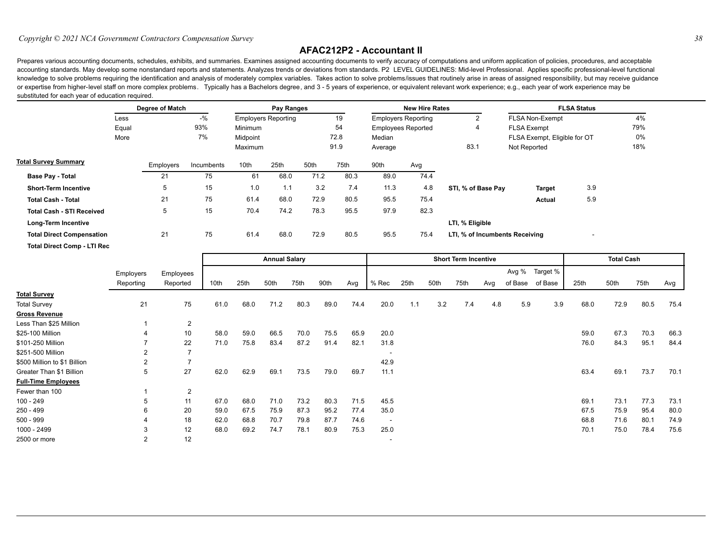## *Copyright © 2021 NCA Government Contractors Compensation Survey 38*

## **AFAC212P2 - Accountant II**

Prepares various accounting documents, schedules, exhibits, and summaries. Examines assigned accounting documents to verify accuracy of computations and uniform application of policies, procedures, and acceptable accounting standards. May develop some nonstandard reports and statements. Analyzes trends or deviations from standards. P2 LEVEL GUIDELINES: Mid-level Professional. Applies specific professional-level functional knowledge to solve problems requiring the identification and analysis of moderately complex variables. Takes action to solve problems/issues that routinely arise in areas of assigned responsibility, but may receive guidanc or expertise from higher-level staff on more complex problems. Typically has a Bachelors degree, and 3 - 5 years of experience, or equivalent relevant work experience; e.g., each year of work experience may be substituted for each year of education required.

|                                    |      | Degree of Match |            |          | Pay Ranges                 |      |      |                            | <b>New Hire Rates</b> |                                | <b>FLSA Status</b>           |                          |     |  |  |  |
|------------------------------------|------|-----------------|------------|----------|----------------------------|------|------|----------------------------|-----------------------|--------------------------------|------------------------------|--------------------------|-----|--|--|--|
|                                    | Less |                 | $-$ %      |          | <b>Employers Reporting</b> |      | 19   | <b>Employers Reporting</b> |                       | 2                              | FLSA Non-Exempt              | 4%<br>79%                |     |  |  |  |
| Equal<br>More                      |      | 93%             |            | Minimum  |                            |      | 54   | <b>Employees Reported</b>  |                       | 4                              | <b>FLSA Exempt</b>           |                          |     |  |  |  |
|                                    |      |                 | 7%         | Midpoint |                            | 72.8 |      | Median                     |                       |                                | FLSA Exempt, Eligible for OT | 0%                       |     |  |  |  |
|                                    |      |                 |            | Maximum  |                            | 91.9 |      | Average                    |                       | 83.1                           | Not Reported                 |                          | 18% |  |  |  |
| <b>Total Survey Summary</b>        |      | Employers       | Incumbents | 10th     | 25th                       | 50th | 75th | 90th                       | Avg                   |                                |                              |                          |     |  |  |  |
| <b>Base Pay - Total</b>            |      | 21              | 75         | 61       | 68.0                       | 71.2 | 80.3 | 89.0                       | 74.4                  |                                |                              |                          |     |  |  |  |
| <b>Short-Term Incentive</b>        |      | 5               | 15         | 1.0      | 1.1                        | 3.2  | 7.4  | 11.3                       | 4.8                   | STI, % of Base Pay             | <b>Target</b>                | 3.9                      |     |  |  |  |
| <b>Total Cash - Total</b>          |      | 21              | 75         | 61.4     | 68.0                       | 72.9 | 80.5 | 95.5                       | 75.4                  |                                | Actual                       | 5.9                      |     |  |  |  |
| <b>Total Cash - STI Received</b>   |      | 5               | 15         | 70.4     | 74.2                       | 78.3 | 95.5 | 97.9                       | 82.3                  |                                |                              |                          |     |  |  |  |
| Long-Term Incentive                |      |                 |            |          |                            |      |      |                            |                       | LTI, % Eligible                |                              |                          |     |  |  |  |
| <b>Total Direct Compensation</b>   |      | 21              | 75         | 61.4     | 68.0                       | 72.9 | 80.5 | 95.5                       | 75.4                  | LTI, % of Incumbents Receiving |                              | $\overline{\phantom{a}}$ |     |  |  |  |
| <b>Total Direct Comp - LTI Rec</b> |      |                 |            |          |                            |      |      |                            |                       |                                |                              |                          |     |  |  |  |

|                              |                |           | <b>Annual Salary</b> |      |      |      |      |      |                          | <b>Short Term Incentive</b> |      |      |     |         |          |      | <b>Total Cash</b> |      |      |  |
|------------------------------|----------------|-----------|----------------------|------|------|------|------|------|--------------------------|-----------------------------|------|------|-----|---------|----------|------|-------------------|------|------|--|
|                              | Employers      | Employees |                      |      |      |      |      |      |                          |                             |      |      |     | Avg %   | Target % |      |                   |      |      |  |
|                              | Reporting      | Reported  | 10th                 | 25th | 50th | 75th | 90th | Avg  | % Rec                    | 25th                        | 50th | 75th | Avg | of Base | of Base  | 25th | 50th              | 75th | Avg  |  |
| <b>Total Survey</b>          |                |           |                      |      |      |      |      |      |                          |                             |      |      |     |         |          |      |                   |      |      |  |
| <b>Total Survey</b>          | 21             | 75        | 61.0                 | 68.0 | 71.2 | 80.3 | 89.0 | 74.4 | 20.0                     | 1.1                         | 3.2  | 7.4  | 4.8 | 5.9     | 3.9      | 68.0 | 72.9              | 80.5 | 75.4 |  |
| <b>Gross Revenue</b>         |                |           |                      |      |      |      |      |      |                          |                             |      |      |     |         |          |      |                   |      |      |  |
| Less Than \$25 Million       |                | 2         |                      |      |      |      |      |      |                          |                             |      |      |     |         |          |      |                   |      |      |  |
| \$25-100 Million             | 4              | 10        | 58.0                 | 59.0 | 66.5 | 70.0 | 75.5 | 65.9 | 20.0                     |                             |      |      |     |         |          | 59.0 | 67.3              | 70.3 | 66.3 |  |
| \$101-250 Million            |                | 22        | 71.0                 | 75.8 | 83.4 | 87.2 | 91.4 | 82.1 | 31.8                     |                             |      |      |     |         |          | 76.0 | 84.3              | 95.1 | 84.4 |  |
| \$251-500 Million            | 2              |           |                      |      |      |      |      |      |                          |                             |      |      |     |         |          |      |                   |      |      |  |
| \$500 Million to \$1 Billion | $\overline{2}$ |           |                      |      |      |      |      |      | 42.9                     |                             |      |      |     |         |          |      |                   |      |      |  |
| Greater Than \$1 Billion     | 5              | 27        | 62.0                 | 62.9 | 69.1 | 73.5 | 79.0 | 69.7 | 11.1                     |                             |      |      |     |         |          | 63.4 | 69.1              | 73.7 | 70.1 |  |
| <b>Full-Time Employees</b>   |                |           |                      |      |      |      |      |      |                          |                             |      |      |     |         |          |      |                   |      |      |  |
| Fewer than 100               |                | 2         |                      |      |      |      |      |      |                          |                             |      |      |     |         |          |      |                   |      |      |  |
| 100 - 249                    | 5              | 11        | 67.0                 | 68.0 | 71.0 | 73.2 | 80.3 | 71.5 | 45.5                     |                             |      |      |     |         |          | 69.1 | 73.1              | 77.3 | 73.1 |  |
| 250 - 499                    | 6              | 20        | 59.0                 | 67.5 | 75.9 | 87.3 | 95.2 | 77.4 | 35.0                     |                             |      |      |     |         |          | 67.5 | 75.9              | 95.4 | 80.0 |  |
| $500 - 999$                  | 4              | 18        | 62.0                 | 68.8 | 70.7 | 79.8 | 87.7 | 74.6 | $\overline{\phantom{a}}$ |                             |      |      |     |         |          | 68.8 | 71.6              | 80.1 | 74.9 |  |
| 1000 - 2499                  | 3              | 12        | 68.0                 | 69.2 | 74.7 | 78.1 | 80.9 | 75.3 | 25.0                     |                             |      |      |     |         |          | 70.1 | 75.0              | 78.4 | 75.6 |  |
| 2500 or more                 | 2              | 12        |                      |      |      |      |      |      | $\overline{\phantom{a}}$ |                             |      |      |     |         |          |      |                   |      |      |  |